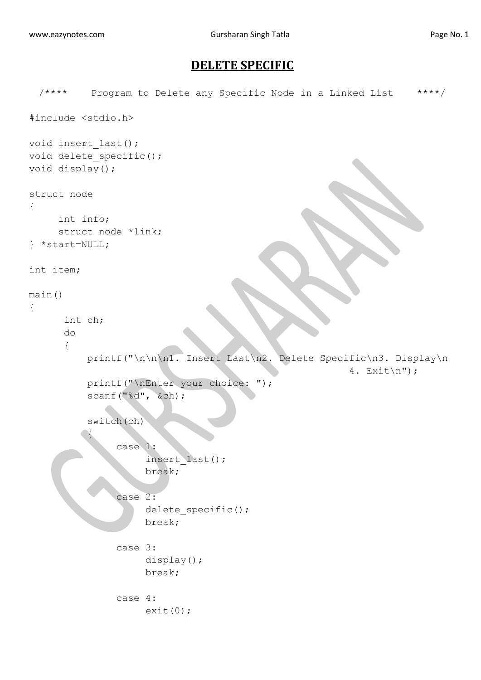## **DELETE SPECIFIC**

```
/**** Program to Delete any Specific Node in a Linked List ****/
#include <stdio.h>
void insert_last();
void delete specific();
void display();
struct node
{
     int info;
     struct node *link;
} *start=NULL;
int item;
main()
{
       int ch; 
       do
       {
           printf("\n\n\n1. Insert Last\n2. Delete Specific\n3. Display\n
                                                          4. Exit\ln");
           printf("\nEnter your choice: ");
           scanf("%d", &ch);
           switch(ch)
 {
                 case 1:
                      insert_last();
                      break;
                 case 2:
                     delete specific();
                     break;
                case 3:
                      display();
                     break;
                case 4:
                    exit(0);
```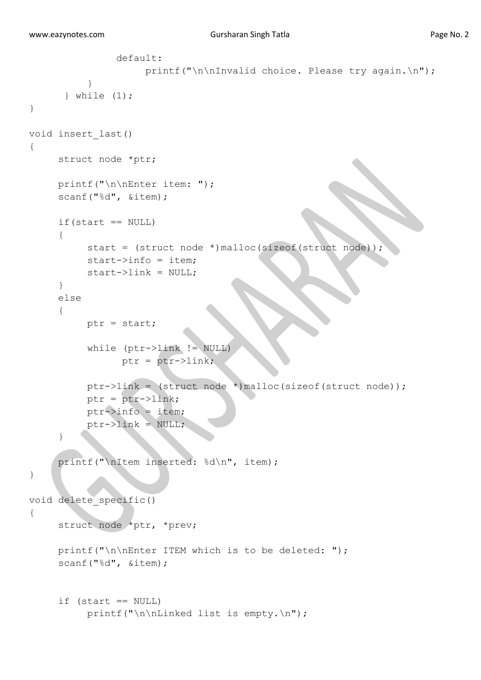```
 default:
                    printf("\n\nInvalid choice. Please try again.\n");
 }
       } while (1);
} 
void insert_last()
{
     struct node *ptr;
     printf("\n\nEnter item: ");
     scanf("%d", &item);
     if(start == NULL){
          start = (struct node *)malloc(sizeof(struct node));
          start->info = item;
          start->link = NULL;
     }
     else
     {
          ptr = start;
           while (ptr->link != NULL)
                ptr = ptr->link; ptr->link = (struct node *)malloc(sizeof(struct node));
           ptr = ptr->link;
          ptr->info = item;
          ptr->link = NULL;}
     printf("\nItem inserted: %d\n", item);
}
void delete_specific()
{
      struct node *ptr, *prev;
      printf("\n\nEnter ITEM which is to be deleted: ");
      scanf("%d", &item);
      if (start == NULL)
           printf("\n\nLinked list is empty.\n");
```